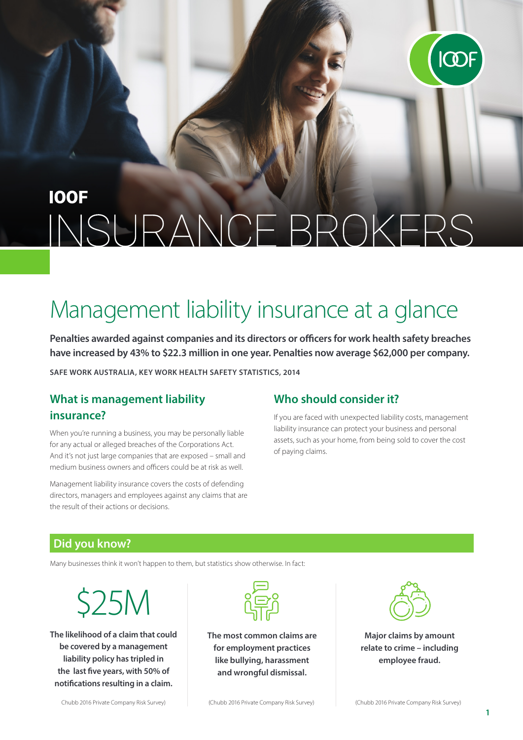

# **IOOF** INSURANCE BROKERS

# Management liability insurance at a glance

**Penalties awarded against companies and its directors or officers for work health safety breaches have increased by 43% to \$22.3 million in one year. Penalties now average \$62,000 per company.**

**SAFE WORK AUSTRALIA, KEY WORK HEALTH SAFETY STATISTICS, 2014**

### **What is management liability insurance?**

When you're running a business, you may be personally liable for any actual or alleged breaches of the Corporations Act. And it's not just large companies that are exposed – small and medium business owners and officers could be at risk as well.

Management liability insurance covers the costs of defending directors, managers and employees against any claims that are the result of their actions or decisions.

#### **Who should consider it?**

If you are faced with unexpected liability costs, management liability insurance can protect your business and personal assets, such as your home, from being sold to cover the cost of paying claims.

#### **Did you know?**

Many businesses think it won't happen to them, but statistics show otherwise. In fact:

\$25M

**The likelihood of a claim that could be covered by a management liability policy has tripled in the last five years, with 50% of notifications resulting in a claim.**



**The most common claims are for employment practices like bullying, harassment and wrongful dismissal.**



**Major claims by amount relate to crime – including employee fraud.**